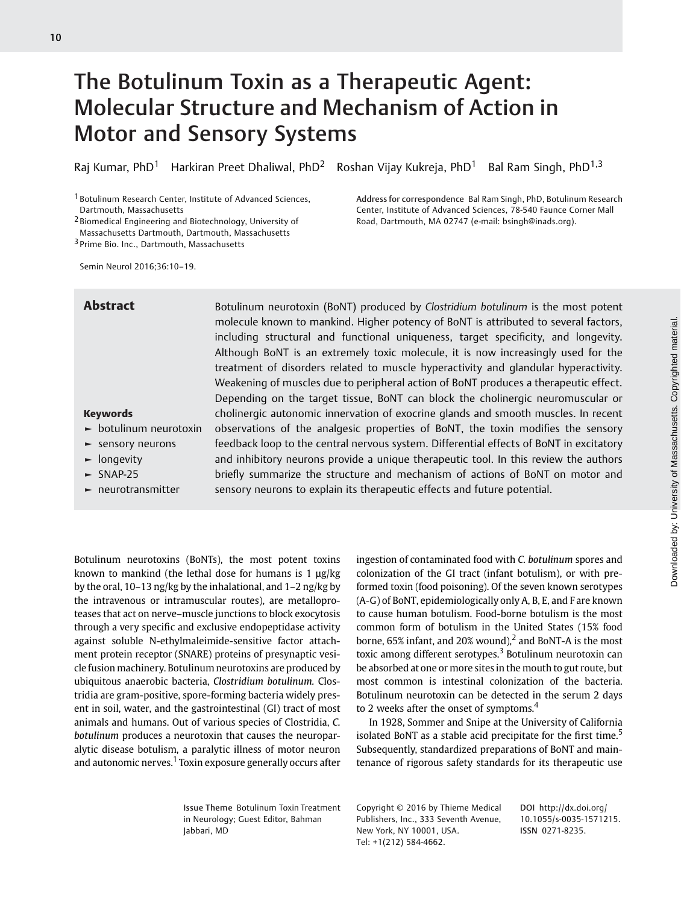# The Botulinum Toxin as a Therapeutic Agent: Molecular Structure and Mechanism of Action in Motor and Sensory Systems

Raj Kumar, PhD<sup>1</sup> Harkiran Preet Dhaliwal, PhD<sup>2</sup> Roshan Vijay Kukreja, PhD<sup>1</sup> Bal Ram Singh, PhD<sup>1,3</sup>

1 Botulinum Research Center, Institute of Advanced Sciences, Dartmouth, Massachusetts

2 Biomedical Engineering and Biotechnology, University of

Massachusetts Dartmouth, Dartmouth, Massachusetts

3 Prime Bio. Inc., Dartmouth, Massachusetts

Address for correspondence Bal Ram Singh, PhD, Botulinum Research Center, Institute of Advanced Sciences, 78-540 Faunce Corner Mall Road, Dartmouth, MA 02747 (e-mail: [bsingh@inads.org](mailto:bsingh@inads.org)).

Semin Neurol 2016;36:10–19.

Keywords ► botulinum neurotoxin ► sensory neurons ► longevity ► SNAP-25 ► neurotransmitter **Abstract** Botulinum neurotoxin (BoNT) produced by *Clostridium botulinum* is the most potent molecule known to mankind. Higher potency of BoNT is attributed to several factors, including structural and functional uniqueness, target specificity, and longevity. Although BoNT is an extremely toxic molecule, it is now increasingly used for the treatment of disorders related to muscle hyperactivity and glandular hyperactivity. Weakening of muscles due to peripheral action of BoNT produces a therapeutic effect. Depending on the target tissue, BoNT can block the cholinergic neuromuscular or cholinergic autonomic innervation of exocrine glands and smooth muscles. In recent observations of the analgesic properties of BoNT, the toxin modifies the sensory feedback loop to the central nervous system. Differential effects of BoNT in excitatory and inhibitory neurons provide a unique therapeutic tool. In this review the authors briefly summarize the structure and mechanism of actions of BoNT on motor and sensory neurons to explain its therapeutic effects and future potential.

Botulinum neurotoxins (BoNTs), the most potent toxins known to mankind (the lethal dose for humans is  $1 \mu$ g/kg by the oral, 10–13 ng/kg by the inhalational, and 1–2 ng/kg by the intravenous or intramuscular routes), are metalloproteases that act on nerve–muscle junctions to block exocytosis through a very specific and exclusive endopeptidase activity against soluble N-ethylmaleimide-sensitive factor attachment protein receptor (SNARE) proteins of presynaptic vesicle fusion machinery. Botulinum neurotoxins are produced by ubiquitous anaerobic bacteria, Clostridium botulinum. Clostridia are gram-positive, spore-forming bacteria widely present in soil, water, and the gastrointestinal (GI) tract of most animals and humans. Out of various species of Clostridia, C. botulinum produces a neurotoxin that causes the neuroparalytic disease botulism, a paralytic illness of motor neuron and autonomic nerves.<sup>1</sup> Toxin exposure generally occurs after ingestion of contaminated food with C. botulinum spores and colonization of the GI tract (infant botulism), or with preformed toxin (food poisoning). Of the seven known serotypes (A-G) of BoNT, epidemiologically only A, B, E, and F are known to cause human botulism. Food-borne botulism is the most common form of botulism in the United States (15% food borne, 65% infant, and 20% wound), $<sup>2</sup>$  and BoNT-A is the most</sup> toxic among different serotypes.<sup>3</sup> Botulinum neurotoxin can be absorbed at one or more sites in the mouth to gut route, but most common is intestinal colonization of the bacteria. Botulinum neurotoxin can be detected in the serum 2 days to 2 weeks after the onset of symptoms. $4$ 

In 1928, Sommer and Snipe at the University of California isolated BoNT as a stable acid precipitate for the first time.<sup>5</sup> Subsequently, standardized preparations of BoNT and maintenance of rigorous safety standards for its therapeutic use

Issue Theme Botulinum Toxin Treatment in Neurology; Guest Editor, Bahman Jabbari, MD

Copyright © 2016 by Thieme Medical Publishers, Inc., 333 Seventh Avenue, New York, NY 10001, USA. Tel: +1(212) 584-4662.

DOI [http://dx.doi.org/](http://dx.doi.org/10.1055/s-0035-1571215) [10.1055/s-0035-1571215.](http://dx.doi.org/10.1055/s-0035-1571215) ISSN 0271-8235.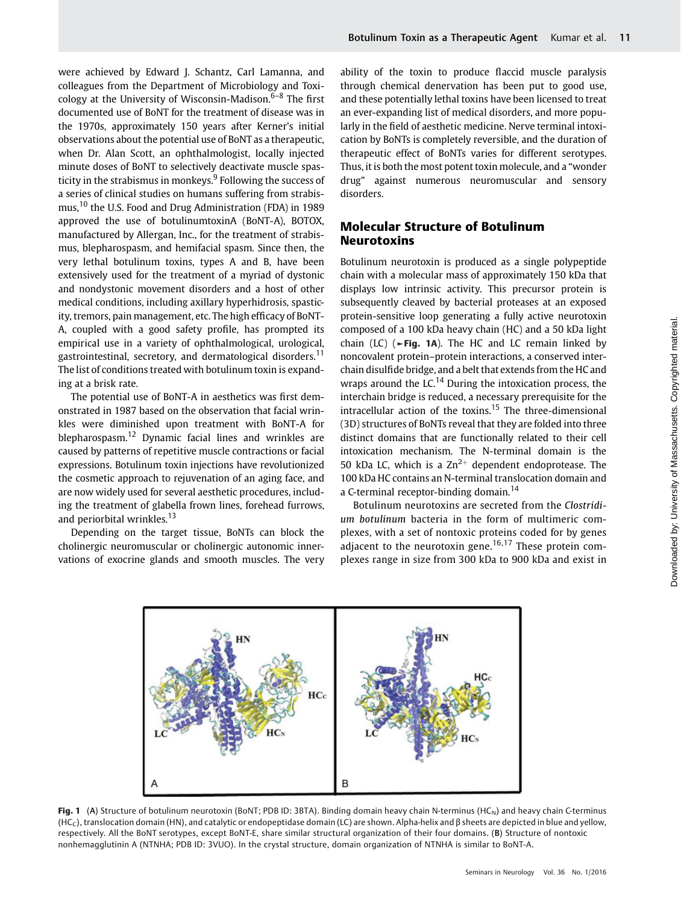were achieved by Edward J. Schantz, Carl Lamanna, and colleagues from the Department of Microbiology and Toxicology at the University of Wisconsin-Madison.<sup>6-8</sup> The first documented use of BoNT for the treatment of disease was in the 1970s, approximately 150 years after Kerner's initial observations about the potential use of BoNT as a therapeutic, when Dr. Alan Scott, an ophthalmologist, locally injected minute doses of BoNT to selectively deactivate muscle spasticity in the strabismus in monkeys. $9$  Following the success of a series of clinical studies on humans suffering from strabismus,<sup>10</sup> the U.S. Food and Drug Administration (FDA) in 1989 approved the use of botulinumtoxinA (BoNT-A), BOTOX, manufactured by Allergan, Inc., for the treatment of strabismus, blepharospasm, and hemifacial spasm. Since then, the very lethal botulinum toxins, types A and B, have been extensively used for the treatment of a myriad of dystonic and nondystonic movement disorders and a host of other medical conditions, including axillary hyperhidrosis, spasticity, tremors, pain management, etc. The high efficacy of BoNT-A, coupled with a good safety profile, has prompted its empirical use in a variety of ophthalmological, urological, gastrointestinal, secretory, and dermatological disorders.<sup>11</sup> The list of conditions treated with botulinum toxin is expanding at a brisk rate.

The potential use of BoNT-A in aesthetics was first demonstrated in 1987 based on the observation that facial wrinkles were diminished upon treatment with BoNT-A for blepharospasm.<sup>12</sup> Dynamic facial lines and wrinkles are caused by patterns of repetitive muscle contractions or facial expressions. Botulinum toxin injections have revolutionized the cosmetic approach to rejuvenation of an aging face, and are now widely used for several aesthetic procedures, including the treatment of glabella frown lines, forehead furrows, and periorbital wrinkles.<sup>13</sup>

Depending on the target tissue, BoNTs can block the cholinergic neuromuscular or cholinergic autonomic innervations of exocrine glands and smooth muscles. The very ability of the toxin to produce flaccid muscle paralysis through chemical denervation has been put to good use, and these potentially lethal toxins have been licensed to treat an ever-expanding list of medical disorders, and more popularly in the field of aesthetic medicine. Nerve terminal intoxication by BoNTs is completely reversible, and the duration of therapeutic effect of BoNTs varies for different serotypes. Thus, it is both the most potent toxin molecule, and a "wonder drug" against numerous neuromuscular and sensory disorders.

## Molecular Structure of Botulinum Neurotoxins

Botulinum neurotoxin is produced as a single polypeptide chain with a molecular mass of approximately 150 kDa that displays low intrinsic activity. This precursor protein is subsequently cleaved by bacterial proteases at an exposed protein-sensitive loop generating a fully active neurotoxin composed of a 100 kDa heavy chain (HC) and a 50 kDa light chain (LC) ( $\blacktriangleright$ Fig. 1A). The HC and LC remain linked by noncovalent protein–protein interactions, a conserved interchain disulfide bridge, and a belt that extends from the HC and wraps around the  $LC<sup>14</sup>$  During the intoxication process, the interchain bridge is reduced, a necessary prerequisite for the intracellular action of the toxins.<sup>15</sup> The three-dimensional (3D) structures of BoNTs reveal that they are folded into three distinct domains that are functionally related to their cell intoxication mechanism. The N-terminal domain is the 50 kDa LC, which is a  $Zn^{2+}$  dependent endoprotease. The 100 kDa HC contains an N-terminal translocation domain and a C-terminal receptor-binding domain.<sup>14</sup>

Botulinum neurotoxins are secreted from the Clostridium botulinum bacteria in the form of multimeric complexes, with a set of nontoxic proteins coded for by genes adjacent to the neurotoxin gene.<sup>16,17</sup> These protein complexes range in size from 300 kDa to 900 kDa and exist in



Fig. 1 (A) Structure of botulinum neurotoxin (BoNT; PDB ID: 3BTA). Binding domain heavy chain N-terminus (HC<sub>N</sub>) and heavy chain G-terminus (HCC), translocation domain (HN), and catalytic or endopeptidase domain (LC) are shown. Alpha-helix and β sheets are depicted in blue and yellow, respectively. All the BoNT serotypes, except BoNT-E, share similar structural organization of their four domains. (B) Structure of nontoxic nonhemagglutinin A (NTNHA; PDB ID: 3VUO). In the crystal structure, domain organization of NTNHA is similar to BoNT-A.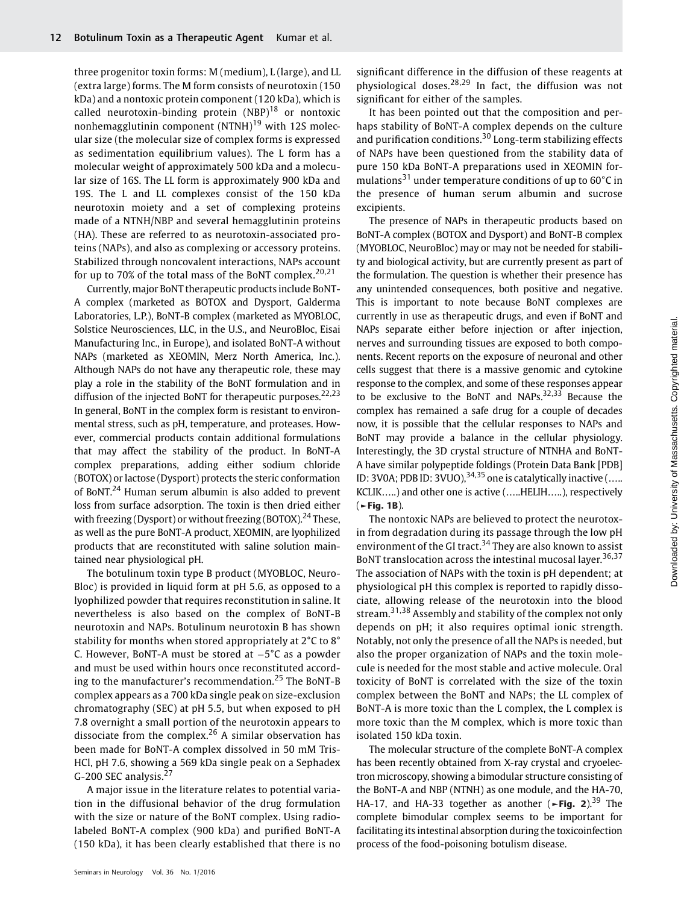three progenitor toxin forms: M (medium), L (large), and LL (extra large) forms. The M form consists of neurotoxin (150 kDa) and a nontoxic protein component (120 kDa), which is called neurotoxin-binding protein  $(NBP)^{18}$  or nontoxic nonhemagglutinin component  $(NTNH)^{19}$  with 12S molecular size (the molecular size of complex forms is expressed as sedimentation equilibrium values). The L form has a molecular weight of approximately 500 kDa and a molecular size of 16S. The LL form is approximately 900 kDa and 19S. The L and LL complexes consist of the 150 kDa neurotoxin moiety and a set of complexing proteins made of a NTNH/NBP and several hemagglutinin proteins (HA). These are referred to as neurotoxin-associated proteins (NAPs), and also as complexing or accessory proteins. Stabilized through noncovalent interactions, NAPs account for up to 70% of the total mass of the BoNT complex.<sup>20,21</sup>

Currently, major BoNT therapeutic products include BoNT-A complex (marketed as BOTOX and Dysport, Galderma Laboratories, L.P.), BoNT-B complex (marketed as MYOBLOC, Solstice Neurosciences, LLC, in the U.S., and NeuroBloc, Eisai Manufacturing Inc., in Europe), and isolated BoNT-A without NAPs (marketed as XEOMIN, Merz North America, Inc.). Although NAPs do not have any therapeutic role, these may play a role in the stability of the BoNT formulation and in diffusion of the injected BoNT for therapeutic purposes.<sup>22,23</sup> In general, BoNT in the complex form is resistant to environmental stress, such as pH, temperature, and proteases. However, commercial products contain additional formulations that may affect the stability of the product. In BoNT-A complex preparations, adding either sodium chloride (BOTOX) or lactose (Dysport) protects the steric conformation of BoNT.<sup>24</sup> Human serum albumin is also added to prevent loss from surface adsorption. The toxin is then dried either with freezing (Dysport) or without freezing (BOTOX).<sup>24</sup> These, as well as the pure BoNT-A product, XEOMIN, are lyophilized products that are reconstituted with saline solution maintained near physiological pH.

The botulinum toxin type B product (MYOBLOC, Neuro-Bloc) is provided in liquid form at pH 5.6, as opposed to a lyophilized powder that requires reconstitution in saline. It nevertheless is also based on the complex of BoNT-B neurotoxin and NAPs. Botulinum neurotoxin B has shown stability for months when stored appropriately at 2°C to 8° C. However, BoNT-A must be stored at  $-5^{\circ}$ C as a powder and must be used within hours once reconstituted according to the manufacturer's recommendation.<sup>25</sup> The BoNT-B complex appears as a 700 kDa single peak on size-exclusion chromatography (SEC) at pH 5.5, but when exposed to pH 7.8 overnight a small portion of the neurotoxin appears to dissociate from the complex.<sup>26</sup> A similar observation has been made for BoNT-A complex dissolved in 50 mM Tris-HCl, pH 7.6, showing a 569 kDa single peak on a Sephadex G-200 SEC analysis.<sup>27</sup>

A major issue in the literature relates to potential variation in the diffusional behavior of the drug formulation with the size or nature of the BoNT complex. Using radiolabeled BoNT-A complex (900 kDa) and purified BoNT-A (150 kDa), it has been clearly established that there is no significant difference in the diffusion of these reagents at physiological doses.<sup>28,29</sup> In fact, the diffusion was not significant for either of the samples.

It has been pointed out that the composition and perhaps stability of BoNT-A complex depends on the culture and purification conditions.<sup>30</sup> Long-term stabilizing effects of NAPs have been questioned from the stability data of pure 150 kDa BoNT-A preparations used in XEOMIN formulations<sup>31</sup> under temperature conditions of up to  $60^{\circ}$ C in the presence of human serum albumin and sucrose excipients.

The presence of NAPs in therapeutic products based on BoNT-A complex (BOTOX and Dysport) and BoNT-B complex (MYOBLOC, NeuroBloc) may or may not be needed for stability and biological activity, but are currently present as part of the formulation. The question is whether their presence has any unintended consequences, both positive and negative. This is important to note because BoNT complexes are currently in use as therapeutic drugs, and even if BoNT and NAPs separate either before injection or after injection, nerves and surrounding tissues are exposed to both components. Recent reports on the exposure of neuronal and other cells suggest that there is a massive genomic and cytokine response to the complex, and some of these responses appear to be exclusive to the BoNT and NAPs.<sup>32,33</sup> Because the complex has remained a safe drug for a couple of decades now, it is possible that the cellular responses to NAPs and BoNT may provide a balance in the cellular physiology. Interestingly, the 3D crystal structure of NTNHA and BoNT-A have similar polypeptide foldings (Protein Data Bank [PDB] ID: 3V0A; PDB ID: 3VUO),  $34,35$  one is catalytically inactive (..... KCLIK…..) and other one is active (…..HELIH…..), respectively (►Fig. 1B).

The nontoxic NAPs are believed to protect the neurotoxin from degradation during its passage through the low pH environment of the GI tract.<sup>34</sup> They are also known to assist BoNT translocation across the intestinal mucosal layer.<sup>36,37</sup> The association of NAPs with the toxin is pH dependent; at physiological pH this complex is reported to rapidly dissociate, allowing release of the neurotoxin into the blood stream.<sup>31,38</sup> Assembly and stability of the complex not only depends on pH; it also requires optimal ionic strength. Notably, not only the presence of all the NAPs is needed, but also the proper organization of NAPs and the toxin molecule is needed for the most stable and active molecule. Oral toxicity of BoNT is correlated with the size of the toxin complex between the BoNT and NAPs; the LL complex of BoNT-A is more toxic than the L complex, the L complex is more toxic than the M complex, which is more toxic than isolated 150 kDa toxin.

The molecular structure of the complete BoNT-A complex has been recently obtained from X-ray crystal and cryoelectron microscopy, showing a bimodular structure consisting of the BoNT-A and NBP (NTNH) as one module, and the HA-70, HA-17, and HA-33 together as another  $({\sim}$ Fig. 2).<sup>39</sup> The complete bimodular complex seems to be important for facilitating its intestinal absorption during the toxicoinfection process of the food-poisoning botulism disease.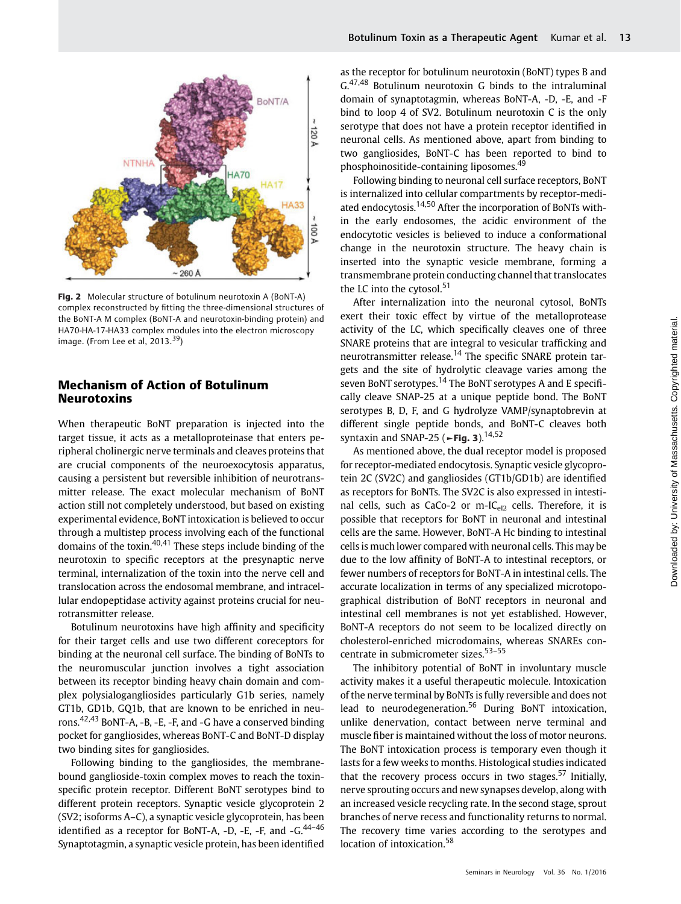

Fig. 2 Molecular structure of botulinum neurotoxin A (BoNT-A) complex reconstructed by fitting the three-dimensional structures of the BoNT-A M complex (BoNT-A and neurotoxin-binding protein) and HA70-HA-17-HA33 complex modules into the electron microscopy image. (From Lee et al, 2013.<sup>39</sup>)

## Mechanism of Action of Botulinum **Neurotoxins**

When therapeutic BoNT preparation is injected into the target tissue, it acts as a metalloproteinase that enters peripheral cholinergic nerve terminals and cleaves proteins that are crucial components of the neuroexocytosis apparatus, causing a persistent but reversible inhibition of neurotransmitter release. The exact molecular mechanism of BoNT action still not completely understood, but based on existing experimental evidence, BoNT intoxication is believed to occur through a multistep process involving each of the functional domains of the toxin. $40,41$  These steps include binding of the neurotoxin to specific receptors at the presynaptic nerve terminal, internalization of the toxin into the nerve cell and translocation across the endosomal membrane, and intracellular endopeptidase activity against proteins crucial for neurotransmitter release.

Botulinum neurotoxins have high affinity and specificity for their target cells and use two different coreceptors for binding at the neuronal cell surface. The binding of BoNTs to the neuromuscular junction involves a tight association between its receptor binding heavy chain domain and complex polysialogangliosides particularly G1b series, namely GT1b, GD1b, GQ1b, that are known to be enriched in neurons.42,43 BoNT-A, -B, -E, -F, and -G have a conserved binding pocket for gangliosides, whereas BoNT-C and BoNT-D display two binding sites for gangliosides.

Following binding to the gangliosides, the membranebound ganglioside-toxin complex moves to reach the toxinspecific protein receptor. Different BoNT serotypes bind to different protein receptors. Synaptic vesicle glycoprotein 2 (SV2; isoforms A–C), a synaptic vesicle glycoprotein, has been identified as a receptor for BoNT-A,  $-D$ ,  $-E$ ,  $-F$ , and  $-G$ .  $44-46$ Synaptotagmin, a synaptic vesicle protein, has been identified as the receptor for botulinum neurotoxin (BoNT) types B and  $G<sub>1</sub><sup>47,48</sup>$  Botulinum neurotoxin G binds to the intraluminal domain of synaptotagmin, whereas BoNT-A, -D, -E, and -F bind to loop 4 of SV2. Botulinum neurotoxin C is the only serotype that does not have a protein receptor identified in neuronal cells. As mentioned above, apart from binding to two gangliosides, BoNT-C has been reported to bind to phosphoinositide-containing liposomes.<sup>49</sup>

Following binding to neuronal cell surface receptors, BoNT is internalized into cellular compartments by receptor-mediated endocytosis.14,50 After the incorporation of BoNTs within the early endosomes, the acidic environment of the endocytotic vesicles is believed to induce a conformational change in the neurotoxin structure. The heavy chain is inserted into the synaptic vesicle membrane, forming a transmembrane protein conducting channel that translocates the LC into the cytosol.<sup>51</sup>

After internalization into the neuronal cytosol, BoNTs exert their toxic effect by virtue of the metalloprotease activity of the LC, which specifically cleaves one of three SNARE proteins that are integral to vesicular trafficking and neurotransmitter release.<sup>14</sup> The specific SNARE protein targets and the site of hydrolytic cleavage varies among the seven BoNT serotypes.<sup>14</sup> The BoNT serotypes A and E specifically cleave SNAP-25 at a unique peptide bond. The BoNT serotypes B, D, F, and G hydrolyze VAMP/synaptobrevin at different single peptide bonds, and BoNT-C cleaves both syntaxin and SNAP-25 ( $\blacktriangleright$ Fig. 3).<sup>14,52</sup>

As mentioned above, the dual receptor model is proposed for receptor-mediated endocytosis. Synaptic vesicle glycoprotein 2C (SV2C) and gangliosides (GT1b/GD1b) are identified as receptors for BoNTs. The SV2C is also expressed in intestinal cells, such as CaCo-2 or m-IC $_{el2}$  cells. Therefore, it is possible that receptors for BoNT in neuronal and intestinal cells are the same. However, BoNT-A Hc binding to intestinal cells is much lower compared with neuronal cells. This may be due to the low affinity of BoNT-A to intestinal receptors, or fewer numbers of receptors for BoNT-A in intestinal cells. The accurate localization in terms of any specialized microtopographical distribution of BoNT receptors in neuronal and intestinal cell membranes is not yet established. However, BoNT-A receptors do not seem to be localized directly on cholesterol-enriched microdomains, whereas SNAREs concentrate in submicrometer sizes.<sup>53-55</sup>

The inhibitory potential of BoNT in involuntary muscle activity makes it a useful therapeutic molecule. Intoxication of the nerve terminal by BoNTs is fully reversible and does not lead to neurodegeneration.<sup>56</sup> During BoNT intoxication, unlike denervation, contact between nerve terminal and muscle fiber is maintained without the loss of motor neurons. The BoNT intoxication process is temporary even though it lasts for a few weeks to months. Histological studies indicated that the recovery process occurs in two stages.<sup>57</sup> Initially, nerve sprouting occurs and new synapses develop, along with an increased vesicle recycling rate. In the second stage, sprout branches of nerve recess and functionality returns to normal. The recovery time varies according to the serotypes and location of intoxication.<sup>58</sup>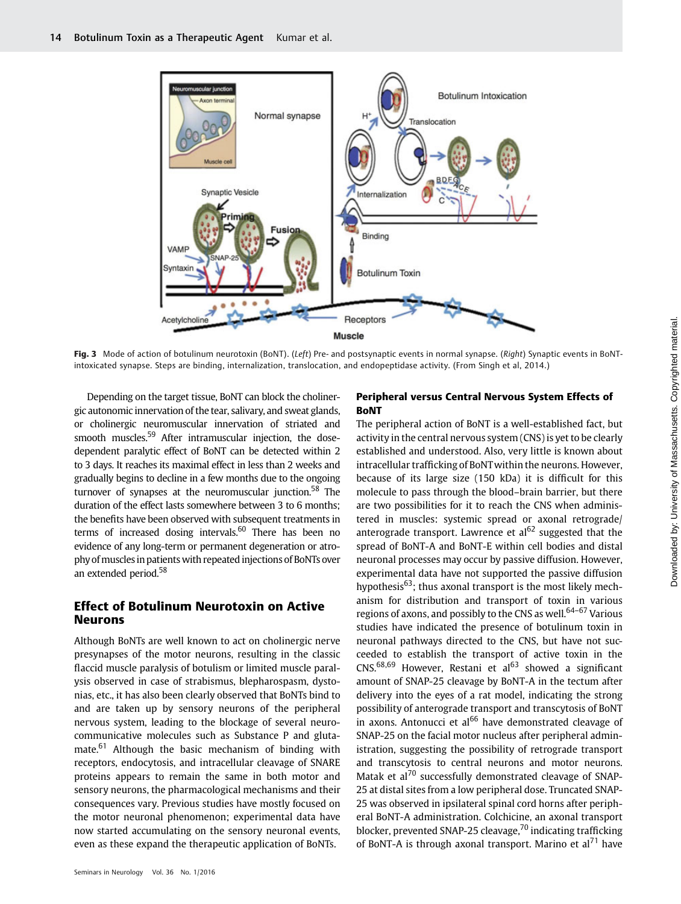

Fig. 3 Mode of action of botulinum neurotoxin (BoNT). (Left) Pre- and postsynaptic events in normal synapse. (Right) Synaptic events in BoNTintoxicated synapse. Steps are binding, internalization, translocation, and endopeptidase activity. (From Singh et al, 2014.)

Depending on the target tissue, BoNT can block the cholinergic autonomic innervation of the tear, salivary, and sweat glands, or cholinergic neuromuscular innervation of striated and smooth muscles.<sup>59</sup> After intramuscular injection, the dosedependent paralytic effect of BoNT can be detected within 2 to 3 days. It reaches its maximal effect in less than 2 weeks and gradually begins to decline in a few months due to the ongoing turnover of synapses at the neuromuscular junction.<sup>58</sup> The duration of the effect lasts somewhere between 3 to 6 months; the benefits have been observed with subsequent treatments in terms of increased dosing intervals. $60$  There has been no evidence of any long-term or permanent degeneration or atrophy of muscles in patients with repeated injections of BoNTs over an extended period.<sup>58</sup>

## Effect of Botulinum Neurotoxin on Active Neurons

Although BoNTs are well known to act on cholinergic nerve presynapses of the motor neurons, resulting in the classic flaccid muscle paralysis of botulism or limited muscle paralysis observed in case of strabismus, blepharospasm, dystonias, etc., it has also been clearly observed that BoNTs bind to and are taken up by sensory neurons of the peripheral nervous system, leading to the blockage of several neurocommunicative molecules such as Substance P and glutamate.<sup>61</sup> Although the basic mechanism of binding with receptors, endocytosis, and intracellular cleavage of SNARE proteins appears to remain the same in both motor and sensory neurons, the pharmacological mechanisms and their consequences vary. Previous studies have mostly focused on the motor neuronal phenomenon; experimental data have now started accumulating on the sensory neuronal events, even as these expand the therapeutic application of BoNTs.

### Peripheral versus Central Nervous System Effects of BoNT

The peripheral action of BoNT is a well-established fact, but activity in the central nervous system (CNS) is yet to be clearly established and understood. Also, very little is known about intracellular trafficking of BoNTwithin the neurons. However, because of its large size (150 kDa) it is difficult for this molecule to pass through the blood–brain barrier, but there are two possibilities for it to reach the CNS when administered in muscles: systemic spread or axonal retrograde/ anterograde transport. Lawrence et  $al<sup>62</sup>$  suggested that the spread of BoNT-A and BoNT-E within cell bodies and distal neuronal processes may occur by passive diffusion. However, experimental data have not supported the passive diffusion hypothesis $63$ ; thus axonal transport is the most likely mechanism for distribution and transport of toxin in various regions of axons, and possibly to the CNS as well.<sup>64–67</sup> Various studies have indicated the presence of botulinum toxin in neuronal pathways directed to the CNS, but have not succeeded to establish the transport of active toxin in the  $CNS<sub>1</sub><sup>68,69</sup>$  However, Restani et al<sup>63</sup> showed a significant amount of SNAP-25 cleavage by BoNT-A in the tectum after delivery into the eyes of a rat model, indicating the strong possibility of anterograde transport and transcytosis of BoNT in axons. Antonucci et al $^{66}$  have demonstrated cleavage of SNAP-25 on the facial motor nucleus after peripheral administration, suggesting the possibility of retrograde transport and transcytosis to central neurons and motor neurons. Matak et al<sup>70</sup> successfully demonstrated cleavage of SNAP-25 at distal sites from a low peripheral dose. Truncated SNAP-25 was observed in ipsilateral spinal cord horns after peripheral BoNT-A administration. Colchicine, an axonal transport blocker, prevented SNAP-25 cleavage, $70$  indicating trafficking of BoNT-A is through axonal transport. Marino et al<sup>71</sup> have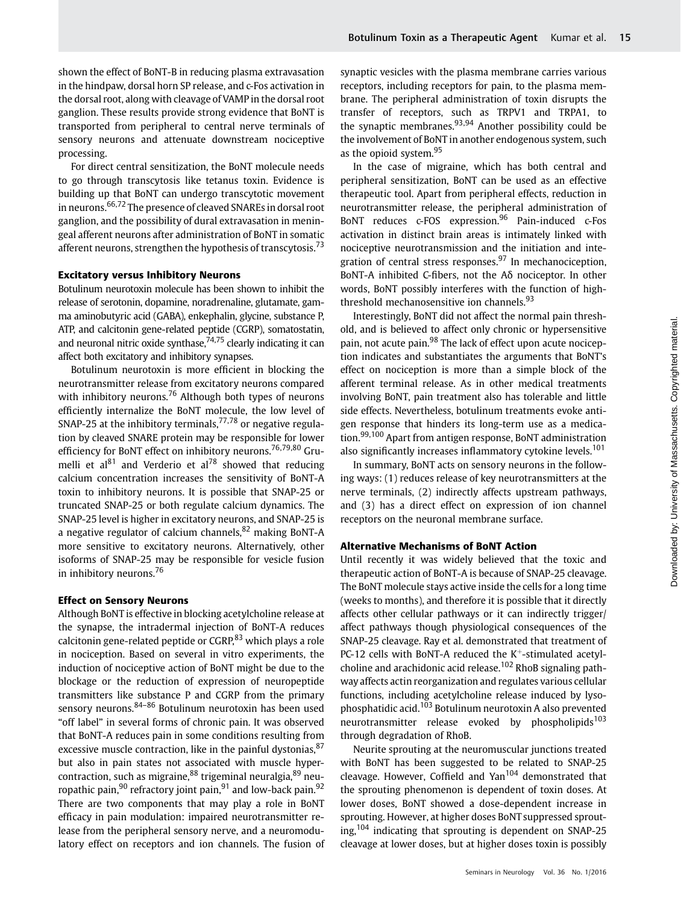shown the effect of BoNT-B in reducing plasma extravasation in the hindpaw, dorsal horn SP release, and c-Fos activation in the dorsal root, along with cleavage of VAMP in the dorsal root ganglion. These results provide strong evidence that BoNT is transported from peripheral to central nerve terminals of sensory neurons and attenuate downstream nociceptive processing.

For direct central sensitization, the BoNT molecule needs to go through transcytosis like tetanus toxin. Evidence is building up that BoNT can undergo transcytotic movement in neurons.66,72 The presence of cleaved SNAREs in dorsal root ganglion, and the possibility of dural extravasation in meningeal afferent neurons after administration of BoNT in somatic afferent neurons, strengthen the hypothesis of transcytosis.<sup>73</sup>

#### Excitatory versus Inhibitory Neurons

Botulinum neurotoxin molecule has been shown to inhibit the release of serotonin, dopamine, noradrenaline, glutamate, gamma aminobutyric acid (GABA), enkephalin, glycine, substance P, ATP, and calcitonin gene-related peptide (CGRP), somatostatin, and neuronal nitric oxide synthase, $74,75$  clearly indicating it can affect both excitatory and inhibitory synapses.

Botulinum neurotoxin is more efficient in blocking the neurotransmitter release from excitatory neurons compared with inhibitory neurons.<sup>76</sup> Although both types of neurons efficiently internalize the BoNT molecule, the low level of SNAP-25 at the inhibitory terminals,  $77,78$  or negative regulation by cleaved SNARE protein may be responsible for lower efficiency for BoNT effect on inhibitory neurons.<sup>76,79,80</sup> Grumelli et  $al^{81}$  and Verderio et  $al^{78}$  showed that reducing calcium concentration increases the sensitivity of BoNT-A toxin to inhibitory neurons. It is possible that SNAP-25 or truncated SNAP-25 or both regulate calcium dynamics. The SNAP-25 level is higher in excitatory neurons, and SNAP-25 is a negative regulator of calcium channels,<sup>82</sup> making BoNT-A more sensitive to excitatory neurons. Alternatively, other isoforms of SNAP-25 may be responsible for vesicle fusion in inhibitory neurons.<sup>76</sup>

#### Effect on Sensory Neurons

Although BoNT is effective in blocking acetylcholine release at the synapse, the intradermal injection of BoNT-A reduces calcitonin gene-related peptide or  $CGRP<sub>1</sub><sup>83</sup>$  which plays a role in nociception. Based on several in vitro experiments, the induction of nociceptive action of BoNT might be due to the blockage or the reduction of expression of neuropeptide transmitters like substance P and CGRP from the primary sensory neurons.<sup>84-86</sup> Botulinum neurotoxin has been used "off label" in several forms of chronic pain. It was observed that BoNT-A reduces pain in some conditions resulting from excessive muscle contraction, like in the painful dystonias, <sup>87</sup> but also in pain states not associated with muscle hypercontraction, such as migraine,  $88$  trigeminal neuralgia,  $89$  neuropathic pain,<sup>90</sup> refractory joint pain,<sup>91</sup> and low-back pain.<sup>92</sup> There are two components that may play a role in BoNT efficacy in pain modulation: impaired neurotransmitter release from the peripheral sensory nerve, and a neuromodulatory effect on receptors and ion channels. The fusion of synaptic vesicles with the plasma membrane carries various receptors, including receptors for pain, to the plasma membrane. The peripheral administration of toxin disrupts the transfer of receptors, such as TRPV1 and TRPA1, to the synaptic membranes. $93,94$  Another possibility could be the involvement of BoNT in another endogenous system, such as the opioid system.<sup>95</sup>

In the case of migraine, which has both central and peripheral sensitization, BoNT can be used as an effective therapeutic tool. Apart from peripheral effects, reduction in neurotransmitter release, the peripheral administration of BoNT reduces c-FOS expression.<sup>96</sup> Pain-induced c-Fos activation in distinct brain areas is intimately linked with nociceptive neurotransmission and the initiation and integration of central stress responses. $97$  In mechanociception, BoNT-A inhibited C-fibers, not the Aδ nociceptor. In other words, BoNT possibly interferes with the function of highthreshold mechanosensitive ion channels.<sup>93</sup>

Interestingly, BoNT did not affect the normal pain threshold, and is believed to affect only chronic or hypersensitive pain, not acute pain.<sup>98</sup> The lack of effect upon acute nociception indicates and substantiates the arguments that BoNT's effect on nociception is more than a simple block of the afferent terminal release. As in other medical treatments involving BoNT, pain treatment also has tolerable and little side effects. Nevertheless, botulinum treatments evoke antigen response that hinders its long-term use as a medication.99,100 Apart from antigen response, BoNT administration also significantly increases inflammatory cytokine levels.<sup>101</sup>

In summary, BoNT acts on sensory neurons in the following ways: (1) reduces release of key neurotransmitters at the nerve terminals, (2) indirectly affects upstream pathways, and (3) has a direct effect on expression of ion channel receptors on the neuronal membrane surface.

#### Alternative Mechanisms of BoNT Action

Until recently it was widely believed that the toxic and therapeutic action of BoNT-A is because of SNAP-25 cleavage. The BoNT molecule stays active inside the cells for a long time (weeks to months), and therefore it is possible that it directly affects other cellular pathways or it can indirectly trigger/ affect pathways though physiological consequences of the SNAP-25 cleavage. Ray et al. demonstrated that treatment of PC-12 cells with BoNT-A reduced the  $K^+$ -stimulated acetylcholine and arachidonic acid release.<sup>102</sup> RhoB signaling pathway affects actin reorganization and regulates various cellular functions, including acetylcholine release induced by lysophosphatidic acid.<sup>103</sup> Botulinum neurotoxin A also prevented neurotransmitter release evoked by phospholipids $103$ through degradation of RhoB.

Neurite sprouting at the neuromuscular junctions treated with BoNT has been suggested to be related to SNAP-25 cleavage. However, Coffield and Yan<sup>104</sup> demonstrated that the sprouting phenomenon is dependent of toxin doses. At lower doses, BoNT showed a dose-dependent increase in sprouting. However, at higher doses BoNT suppressed sprouting,<sup>104</sup> indicating that sprouting is dependent on SNAP-25 cleavage at lower doses, but at higher doses toxin is possibly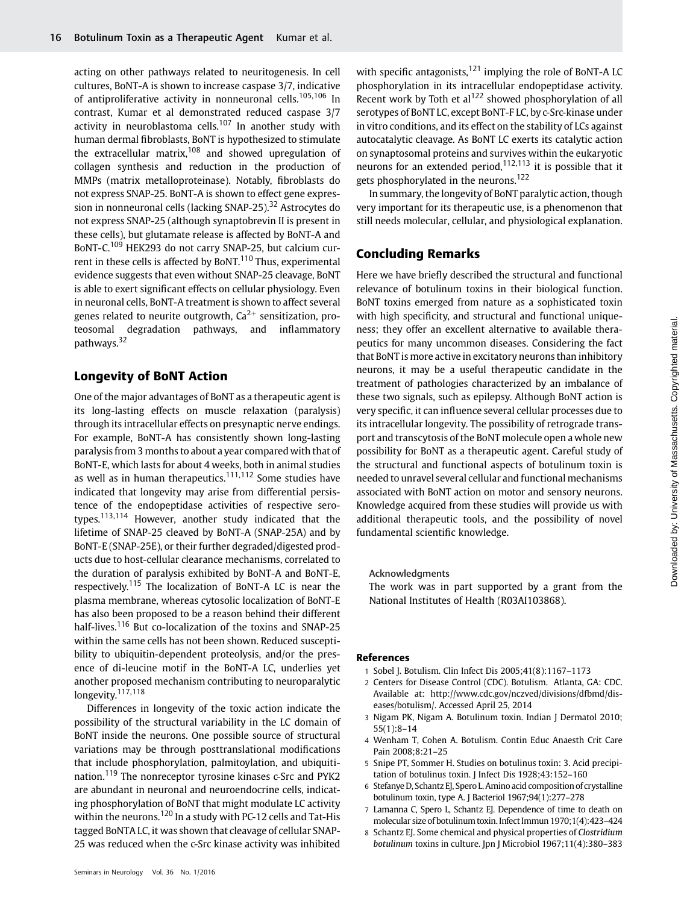acting on other pathways related to neuritogenesis. In cell cultures, BoNT-A is shown to increase caspase 3/7, indicative of antiproliferative activity in nonneuronal cells.<sup>105,106</sup> In contrast, Kumar et al demonstrated reduced caspase 3/7 activity in neuroblastoma cells.<sup>107</sup> In another study with human dermal fibroblasts, BoNT is hypothesized to stimulate the extracellular matrix,<sup>108</sup> and showed upregulation of collagen synthesis and reduction in the production of MMPs (matrix metalloproteinase). Notably, fibroblasts do not express SNAP-25. BoNT-A is shown to effect gene expression in nonneuronal cells (lacking SNAP-25).<sup>32</sup> Astrocytes do not express SNAP-25 (although synaptobrevin II is present in these cells), but glutamate release is affected by BoNT-A and BoNT-C.<sup>109</sup> HEK293 do not carry SNAP-25, but calcium current in these cells is affected by BoNT.<sup>110</sup> Thus, experimental evidence suggests that even without SNAP-25 cleavage, BoNT is able to exert significant effects on cellular physiology. Even in neuronal cells, BoNT-A treatment is shown to affect several genes related to neurite outgrowth,  $Ca^{2+}$  sensitization, proteosomal degradation pathways, and inflammatory pathways.<sup>32</sup>

# Longevity of BoNT Action

One of the major advantages of BoNT as a therapeutic agent is its long-lasting effects on muscle relaxation (paralysis) through its intracellular effects on presynaptic nerve endings. For example, BoNT-A has consistently shown long-lasting paralysis from 3 months to about a year compared with that of BoNT-E, which lasts for about 4 weeks, both in animal studies as well as in human therapeutics.<sup>111,112</sup> Some studies have indicated that longevity may arise from differential persistence of the endopeptidase activities of respective serotypes.113,114 However, another study indicated that the lifetime of SNAP-25 cleaved by BoNT-A (SNAP-25A) and by BoNT-E (SNAP-25E), or their further degraded/digested products due to host-cellular clearance mechanisms, correlated to the duration of paralysis exhibited by BoNT-A and BoNT-E, respectively.<sup>115</sup> The localization of BoNT-A LC is near the plasma membrane, whereas cytosolic localization of BoNT-E has also been proposed to be a reason behind their different half-lives.<sup>116</sup> But co-localization of the toxins and SNAP-25 within the same cells has not been shown. Reduced susceptibility to ubiquitin-dependent proteolysis, and/or the presence of di-leucine motif in the BoNT-A LC, underlies yet another proposed mechanism contributing to neuroparalytic longevity.<sup>117,118</sup>

Differences in longevity of the toxic action indicate the possibility of the structural variability in the LC domain of BoNT inside the neurons. One possible source of structural variations may be through posttranslational modifications that include phosphorylation, palmitoylation, and ubiquitination.<sup>119</sup> The nonreceptor tyrosine kinases c-Src and PYK2 are abundant in neuronal and neuroendocrine cells, indicating phosphorylation of BoNT that might modulate LC activity within the neurons.<sup>120</sup> In a study with PC-12 cells and Tat-His tagged BoNTA LC, it was shown that cleavage of cellular SNAP-25 was reduced when the c-Src kinase activity was inhibited with specific antagonists,  $121$  implying the role of BoNT-A LC phosphorylation in its intracellular endopeptidase activity. Recent work by Toth et  $al^{122}$  showed phosphorylation of all serotypes of BoNT LC, except BoNT-F LC, by c-Src-kinase under in vitro conditions, and its effect on the stability of LCs against autocatalytic cleavage. As BoNT LC exerts its catalytic action on synaptosomal proteins and survives within the eukaryotic neurons for an extended period, $112,113$  it is possible that it gets phosphorylated in the neurons.<sup>122</sup>

In summary, the longevity of BoNT paralytic action, though very important for its therapeutic use, is a phenomenon that still needs molecular, cellular, and physiological explanation.

# Concluding Remarks

Here we have briefly described the structural and functional relevance of botulinum toxins in their biological function. BoNT toxins emerged from nature as a sophisticated toxin with high specificity, and structural and functional uniqueness; they offer an excellent alternative to available therapeutics for many uncommon diseases. Considering the fact that BoNT is more active in excitatory neurons than inhibitory neurons, it may be a useful therapeutic candidate in the treatment of pathologies characterized by an imbalance of these two signals, such as epilepsy. Although BoNT action is very specific, it can influence several cellular processes due to its intracellular longevity. The possibility of retrograde transport and transcytosis of the BoNT molecule open a whole new possibility for BoNT as a therapeutic agent. Careful study of the structural and functional aspects of botulinum toxin is needed to unravel several cellular and functional mechanisms associated with BoNT action on motor and sensory neurons. Knowledge acquired from these studies will provide us with additional therapeutic tools, and the possibility of novel fundamental scientific knowledge.

#### Acknowledgments

The work was in part supported by a grant from the National Institutes of Health (R03AI103868).

#### References

- 1 Sobel J. Botulism. Clin Infect Dis 2005;41(8):1167–1173
- 2 Centers for Disease Control (CDC). Botulism. Atlanta, GA: CDC. Available at: [http://www.cdc.gov/nczved/divisions/dfbmd/dis](http://www.cdc.gov/nczved/divisions/dfbmd/diseases/botulism/)[eases/botulism/.](http://www.cdc.gov/nczved/divisions/dfbmd/diseases/botulism/) Accessed April 25, 2014
- 3 Nigam PK, Nigam A. Botulinum toxin. Indian J Dermatol 2010; 55(1):8–14
- 4 Wenham T, Cohen A. Botulism. Contin Educ Anaesth Crit Care Pain 2008;8:21–25
- 5 Snipe PT, Sommer H. Studies on botulinus toxin: 3. Acid precipitation of botulinus toxin. J Infect Dis 1928;43:152-160
- 6 Stefanye D, Schantz EJ, Spero L. Amino acid composition of crystalline botulinum toxin, type A. J Bacteriol 1967;94(1):277–278
- 7 Lamanna C, Spero L, Schantz EJ. Dependence of time to death on molecular size of botulinum toxin. Infect Immun 1970;1(4):423–424
- 8 Schantz EJ. Some chemical and physical properties of Clostridium botulinum toxins in culture. Jpn J Microbiol 1967;11(4):380–383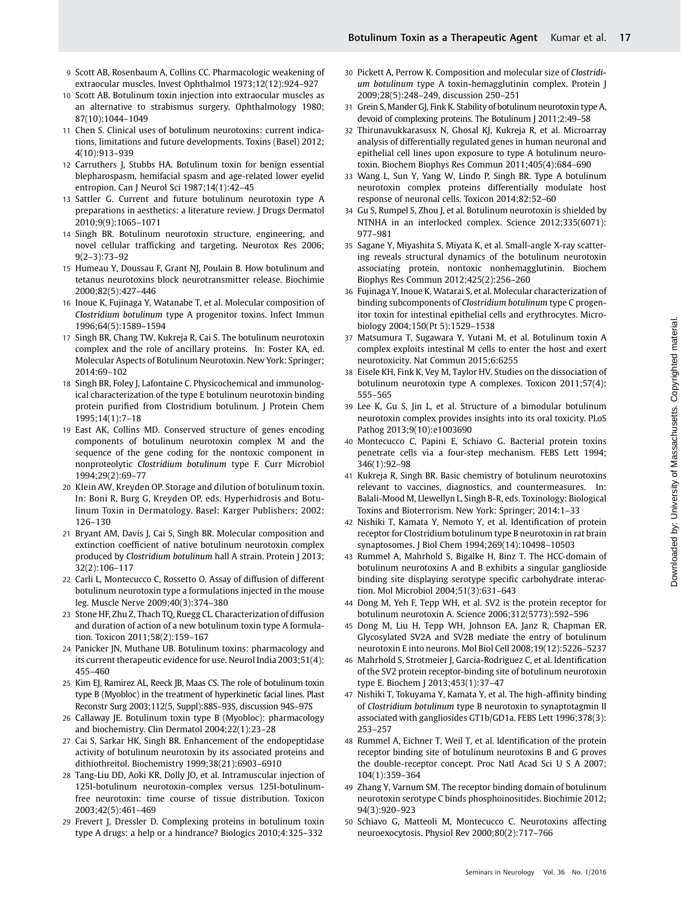- 9 Scott AB, Rosenbaum A, Collins CC. Pharmacologic weakening of extraocular muscles. Invest Ophthalmol 1973;12(12):924–927
- 10 Scott AB. Botulinum toxin injection into extraocular muscles as an alternative to strabismus surgery. Ophthalmology 1980; 87(10):1044–1049
- 11 Chen S. Clinical uses of botulinum neurotoxins: current indications, limitations and future developments. Toxins (Basel) 2012; 4(10):913–939
- 12 Carruthers J, Stubbs HA. Botulinum toxin for benign essential blepharospasm, hemifacial spasm and age-related lower eyelid entropion. Can J Neurol Sci 1987;14(1):42–45
- 13 Sattler G. Current and future botulinum neurotoxin type A preparations in aesthetics: a literature review. J Drugs Dermatol 2010;9(9):1065–1071
- 14 Singh BR. Botulinum neurotoxin structure, engineering, and novel cellular trafficking and targeting. Neurotox Res 2006; 9(2–3):73–92
- 15 Humeau Y, Doussau F, Grant NJ, Poulain B. How botulinum and tetanus neurotoxins block neurotransmitter release. Biochimie 2000;82(5):427–446
- 16 Inoue K, Fujinaga Y, Watanabe T, et al. Molecular composition of Clostridium botulinum type A progenitor toxins. Infect Immun 1996;64(5):1589–1594
- 17 Singh BR, Chang TW, Kukreja R, Cai S. The botulinum neurotoxin complex and the role of ancillary proteins. In: Foster KA, ed. Molecular Aspects of Botulinum Neurotoxin. New York: Springer; 2014:69–102
- 18 Singh BR, Foley J, Lafontaine C. Physicochemical and immunological characterization of the type E botulinum neurotoxin binding protein purified from Clostridium botulinum. J Protein Chem 1995;14(1):7–18
- 19 East AK, Collins MD. Conserved structure of genes encoding components of botulinum neurotoxin complex M and the sequence of the gene coding for the nontoxic component in nonproteolytic Clostridium botulinum type F. Curr Microbiol 1994;29(2):69–77
- 20 Klein AW, Kreyden OP. Storage and dilution of botulinum toxin. In: Boni R, Burg G, Kreyden OP, eds. Hyperhidrosis and Botulinum Toxin in Dermatology. Basel: Karger Publishers; 2002: 126–130
- 21 Bryant AM, Davis J, Cai S, Singh BR. Molecular composition and extinction coefficient of native botulinum neurotoxin complex produced by Clostridium botulinum hall A strain. Protein J 2013; 32(2):106–117
- 22 Carli L, Montecucco C, Rossetto O. Assay of diffusion of different botulinum neurotoxin type a formulations injected in the mouse leg. Muscle Nerve 2009;40(3):374–380
- 23 Stone HF, Zhu Z, Thach TQ, Ruegg CL. Characterization of diffusion and duration of action of a new botulinum toxin type A formulation. Toxicon 2011;58(2):159–167
- 24 Panicker JN, Muthane UB. Botulinum toxins: pharmacology and its current therapeutic evidence for use. Neurol India 2003;51(4): 455–460
- 25 Kim EJ, Ramirez AL, Reeck JB, Maas CS. The role of botulinum toxin type B (Myobloc) in the treatment of hyperkinetic facial lines. Plast Reconstr Surg 2003;112(5, Suppl):88S–93S, discussion 94S–97S
- 26 Callaway JE. Botulinum toxin type B (Myobloc): pharmacology and biochemistry. Clin Dermatol 2004;22(1):23–28
- 27 Cai S, Sarkar HK, Singh BR. Enhancement of the endopeptidase activity of botulinum neurotoxin by its associated proteins and dithiothreitol. Biochemistry 1999;38(21):6903–6910
- 28 Tang-Liu DD, Aoki KR, Dolly JO, et al. Intramuscular injection of 125I-botulinum neurotoxin-complex versus 125I-botulinumfree neurotoxin: time course of tissue distribution. Toxicon 2003;42(5):461–469
- 29 Frevert J, Dressler D. Complexing proteins in botulinum toxin type A drugs: a help or a hindrance? Biologics 2010;4:325–332
- 30 Pickett A, Perrow K. Composition and molecular size of Clostridium botulinum type A toxin-hemagglutinin complex. Protein J 2009;28(5):248–249, discussion 250–251
- 31 Grein S, Mander GJ, Fink K. Stability of botulinum neurotoxin type A, devoid of complexing proteins. The Botulinum J 2011;2:49–58
- 32 Thirunavukkarasusx N, Ghosal KJ, Kukreja R, et al. Microarray analysis of differentially regulated genes in human neuronal and epithelial cell lines upon exposure to type A botulinum neurotoxin. Biochem Biophys Res Commun 2011;405(4):684–690
- 33 Wang L, Sun Y, Yang W, Lindo P, Singh BR. Type A botulinum neurotoxin complex proteins differentially modulate host response of neuronal cells. Toxicon 2014;82:52–60
- 34 Gu S, Rumpel S, Zhou J, et al. Botulinum neurotoxin is shielded by NTNHA in an interlocked complex. Science 2012;335(6071): 977–981
- 35 Sagane Y, Miyashita S, Miyata K, et al. Small-angle X-ray scattering reveals structural dynamics of the botulinum neurotoxin associating protein, nontoxic nonhemagglutinin. Biochem Biophys Res Commun 2012;425(2):256–260
- 36 Fujinaga Y, Inoue K, Watarai S, et al. Molecular characterization of binding subcomponents of Clostridium botulinum type C progenitor toxin for intestinal epithelial cells and erythrocytes. Microbiology 2004;150(Pt 5):1529–1538
- 37 Matsumura T, Sugawara Y, Yutani M, et al. Botulinum toxin A complex exploits intestinal M cells to enter the host and exert neurotoxicity. Nat Commun 2015;6:6255
- 38 Eisele KH, Fink K, Vey M, Taylor HV. Studies on the dissociation of botulinum neurotoxin type A complexes. Toxicon 2011;57(4): 555–565
- 39 Lee K, Gu S, Jin L, et al. Structure of a bimodular botulinum neurotoxin complex provides insights into its oral toxicity. PLoS Pathog 2013;9(10):e1003690
- 40 Montecucco C, Papini E, Schiavo G. Bacterial protein toxins penetrate cells via a four-step mechanism. FEBS Lett 1994; 346(1):92–98
- 41 Kukreja R, Singh BR. Basic chemistry of botulinum neurotoxins relevant to vaccines, diagnostics, and countermeasures. In: Balali-Mood M, Llewellyn L, Singh B-R, eds. Toxinology: Biological Toxins and Bioterrorism. New York: Springer; 2014:1–33
- 42 Nishiki T, Kamata Y, Nemoto Y, et al. Identification of protein receptor for Clostridium botulinum type B neurotoxin in rat brain synaptosomes. J Biol Chem 1994;269(14):10498–10503
- 43 Rummel A, Mahrhold S, Bigalke H, Binz T. The HCC-domain of botulinum neurotoxins A and B exhibits a singular ganglioside binding site displaying serotype specific carbohydrate interaction. Mol Microbiol 2004;51(3):631–643
- 44 Dong M, Yeh F, Tepp WH, et al. SV2 is the protein receptor for botulinum neurotoxin A. Science 2006;312(5773):592–596
- 45 Dong M, Liu H, Tepp WH, Johnson EA, Janz R, Chapman ER. Glycosylated SV2A and SV2B mediate the entry of botulinum neurotoxin E into neurons. Mol Biol Cell 2008;19(12):5226–5237
- 46 Mahrhold S, Strotmeier J, Garcia-Rodriguez C, et al. Identification of the SV2 protein receptor-binding site of botulinum neurotoxin type E. Biochem J 2013;453(1):37–47
- 47 Nishiki T, Tokuyama Y, Kamata Y, et al. The high-affinity binding of Clostridium botulinum type B neurotoxin to synaptotagmin II associated with gangliosides GT1b/GD1a. FEBS Lett 1996;378(3): 253–257
- 48 Rummel A, Eichner T, Weil T, et al. Identification of the protein receptor binding site of botulinum neurotoxins B and G proves the double-receptor concept. Proc Natl Acad Sci U S A 2007; 104(1):359–364
- 49 Zhang Y, Varnum SM. The receptor binding domain of botulinum neurotoxin serotype C binds phosphoinositides. Biochimie 2012; 94(3):920–923
- 50 Schiavo G, Matteoli M, Montecucco C. Neurotoxins affecting neuroexocytosis. Physiol Rev 2000;80(2):717–766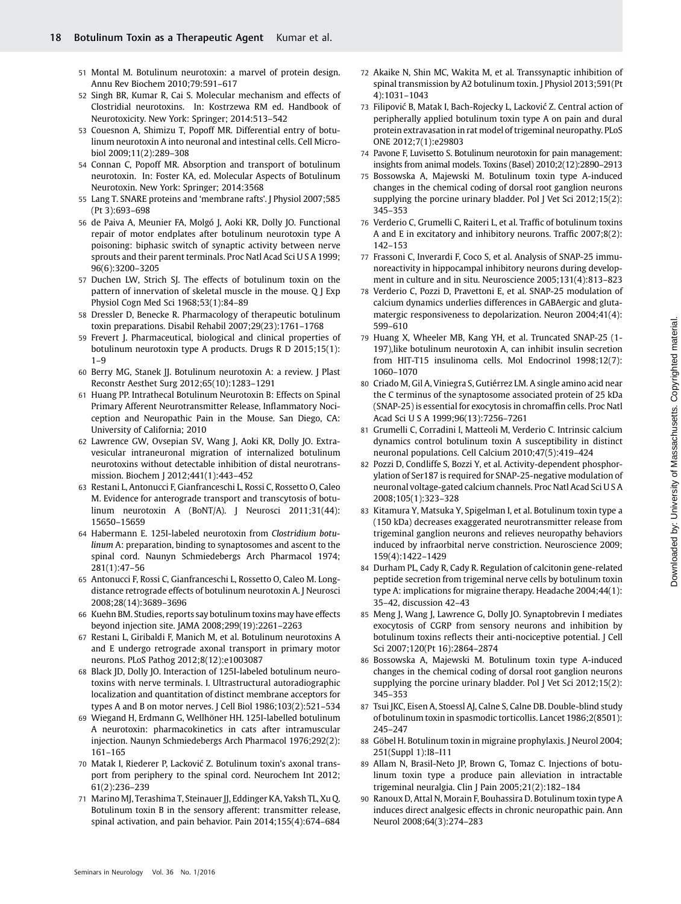- 51 Montal M. Botulinum neurotoxin: a marvel of protein design. Annu Rev Biochem 2010;79:591–617
- 52 Singh BR, Kumar R, Cai S. Molecular mechanism and effects of Clostridial neurotoxins. In: Kostrzewa RM ed. Handbook of Neurotoxicity. New York: Springer; 2014:513–542
- 53 Couesnon A, Shimizu T, Popoff MR. Differential entry of botulinum neurotoxin A into neuronal and intestinal cells. Cell Microbiol 2009;11(2):289–308
- 54 Connan C, Popoff MR. Absorption and transport of botulinum neurotoxin. In: Foster KA, ed. Molecular Aspects of Botulinum Neurotoxin. New York: Springer; 2014:3568
- 55 Lang T. SNARE proteins and 'membrane rafts'. J Physiol 2007;585 (Pt 3):693–698
- 56 de Paiva A, Meunier FA, Molgó J, Aoki KR, Dolly JO. Functional repair of motor endplates after botulinum neurotoxin type A poisoning: biphasic switch of synaptic activity between nerve sprouts and their parent terminals. Proc Natl Acad Sci U S A 1999; 96(6):3200–3205
- 57 Duchen LW, Strich SJ. The effects of botulinum toxin on the pattern of innervation of skeletal muscle in the mouse. Q J Exp Physiol Cogn Med Sci 1968;53(1):84–89
- 58 Dressler D, Benecke R. Pharmacology of therapeutic botulinum toxin preparations. Disabil Rehabil 2007;29(23):1761–1768
- 59 Frevert J. Pharmaceutical, biological and clinical properties of botulinum neurotoxin type A products. Drugs R D 2015;15(1): 1–9
- 60 Berry MG, Stanek JJ. Botulinum neurotoxin A: a review. J Plast Reconstr Aesthet Surg 2012;65(10):1283–1291
- 61 Huang PP. Intrathecal Botulinum Neurotoxin B: Effects on Spinal Primary Afferent Neurotransmitter Release, Inflammatory Nociception and Neuropathic Pain in the Mouse. San Diego, CA: University of California; 2010
- 62 Lawrence GW, Ovsepian SV, Wang J, Aoki KR, Dolly JO. Extravesicular intraneuronal migration of internalized botulinum neurotoxins without detectable inhibition of distal neurotransmission. Biochem J 2012;441(1):443–452
- 63 Restani L, Antonucci F, Gianfranceschi L, Rossi C, Rossetto O, Caleo M. Evidence for anterograde transport and transcytosis of botulinum neurotoxin A (BoNT/A). J Neurosci 2011;31(44): 15650–15659
- 64 Habermann E. 125I-labeled neurotoxin from Clostridium botulinum A: preparation, binding to synaptosomes and ascent to the spinal cord. Naunyn Schmiedebergs Arch Pharmacol 1974; 281(1):47–56
- 65 Antonucci F, Rossi C, Gianfranceschi L, Rossetto O, Caleo M. Longdistance retrograde effects of botulinum neurotoxin A. J Neurosci 2008;28(14):3689–3696
- 66 Kuehn BM. Studies, reports say botulinum toxins may have effects beyond injection site. JAMA 2008;299(19):2261–2263
- 67 Restani L, Giribaldi F, Manich M, et al. Botulinum neurotoxins A and E undergo retrograde axonal transport in primary motor neurons. PLoS Pathog 2012;8(12):e1003087
- 68 Black JD, Dolly JO. Interaction of 125I-labeled botulinum neurotoxins with nerve terminals. I. Ultrastructural autoradiographic localization and quantitation of distinct membrane acceptors for types A and B on motor nerves. J Cell Biol 1986;103(2):521–534
- 69 Wiegand H, Erdmann G, Wellhöner HH. 125I-labelled botulinum A neurotoxin: pharmacokinetics in cats after intramuscular injection. Naunyn Schmiedebergs Arch Pharmacol 1976;292(2): 161–165
- 70 Matak I, Riederer P, Lacković Z. Botulinum toxin's axonal transport from periphery to the spinal cord. Neurochem Int 2012; 61(2):236–239
- 71 Marino MJ, Terashima T, Steinauer JJ, Eddinger KA, Yaksh TL, Xu Q. Botulinum toxin B in the sensory afferent: transmitter release, spinal activation, and pain behavior. Pain 2014;155(4):674–684
- 72 Akaike N, Shin MC, Wakita M, et al. Transsynaptic inhibition of spinal transmission by A2 botulinum toxin. J Physiol 2013;591(Pt 4):1031–1043
- 73 Filipović B, Matak I, Bach-Rojecky L, Lacković Z. Central action of peripherally applied botulinum toxin type A on pain and dural protein extravasation in rat model of trigeminal neuropathy. PLoS ONE 2012;7(1):e29803
- 74 Pavone F, Luvisetto S. Botulinum neurotoxin for pain management: insights from animal models. Toxins (Basel) 2010;2(12):2890–2913
- 75 Bossowska A, Majewski M. Botulinum toxin type A-induced changes in the chemical coding of dorsal root ganglion neurons supplying the porcine urinary bladder. Pol J Vet Sci 2012;15(2): 345–353
- 76 Verderio C, Grumelli C, Raiteri L, et al. Traffic of botulinum toxins A and E in excitatory and inhibitory neurons. Traffic 2007;8(2): 142–153
- 77 Frassoni C, Inverardi F, Coco S, et al. Analysis of SNAP-25 immunoreactivity in hippocampal inhibitory neurons during development in culture and in situ. Neuroscience 2005;131(4):813–823
- 78 Verderio C, Pozzi D, Pravettoni E, et al. SNAP-25 modulation of calcium dynamics underlies differences in GABAergic and glutamatergic responsiveness to depolarization. Neuron 2004;41(4): 599–610
- 79 Huang X, Wheeler MB, Kang YH, et al. Truncated SNAP-25 (1- 197),like botulinum neurotoxin A, can inhibit insulin secretion from HIT-T15 insulinoma cells. Mol Endocrinol 1998;12(7): 1060–1070
- 80 Criado M, Gil A, Viniegra S, Gutiérrez LM. A single amino acid near the C terminus of the synaptosome associated protein of 25 kDa (SNAP-25) is essential for exocytosis in chromaffin cells. Proc Natl Acad Sci U S A 1999;96(13):7256–7261
- 81 Grumelli C, Corradini I, Matteoli M, Verderio C. Intrinsic calcium dynamics control botulinum toxin A susceptibility in distinct neuronal populations. Cell Calcium 2010;47(5):419–424
- 82 Pozzi D, Condliffe S, Bozzi Y, et al. Activity-dependent phosphorylation of Ser187 is required for SNAP-25-negative modulation of neuronal voltage-gated calcium channels. Proc Natl Acad Sci U S A 2008;105(1):323–328
- 83 Kitamura Y, Matsuka Y, Spigelman I, et al. Botulinum toxin type a (150 kDa) decreases exaggerated neurotransmitter release from trigeminal ganglion neurons and relieves neuropathy behaviors induced by infraorbital nerve constriction. Neuroscience 2009; 159(4):1422–1429
- 84 Durham PL, Cady R, Cady R. Regulation of calcitonin gene-related peptide secretion from trigeminal nerve cells by botulinum toxin type A: implications for migraine therapy. Headache 2004;44(1): 35–42, discussion 42–43
- 85 Meng J, Wang J, Lawrence G, Dolly JO. Synaptobrevin I mediates exocytosis of CGRP from sensory neurons and inhibition by botulinum toxins reflects their anti-nociceptive potential. J Cell Sci 2007;120(Pt 16):2864–2874
- 86 Bossowska A, Majewski M. Botulinum toxin type A-induced changes in the chemical coding of dorsal root ganglion neurons supplying the porcine urinary bladder. Pol J Vet Sci 2012;15(2): 345–353
- 87 Tsui JKC, Eisen A, Stoessl AJ, Calne S, Calne DB. Double-blind study of botulinum toxin in spasmodic torticollis. Lancet 1986;2(8501): 245–247
- 88 Göbel H. Botulinum toxin in migraine prophylaxis. J Neurol 2004; 251(Suppl 1):I8–I11
- 89 Allam N, Brasil-Neto JP, Brown G, Tomaz C. Injections of botulinum toxin type a produce pain alleviation in intractable trigeminal neuralgia. Clin J Pain 2005;21(2):182–184
- 90 Ranoux D, Attal N, Morain F, Bouhassira D. Botulinum toxin type A induces direct analgesic effects in chronic neuropathic pain. Ann Neurol 2008;64(3):274–283